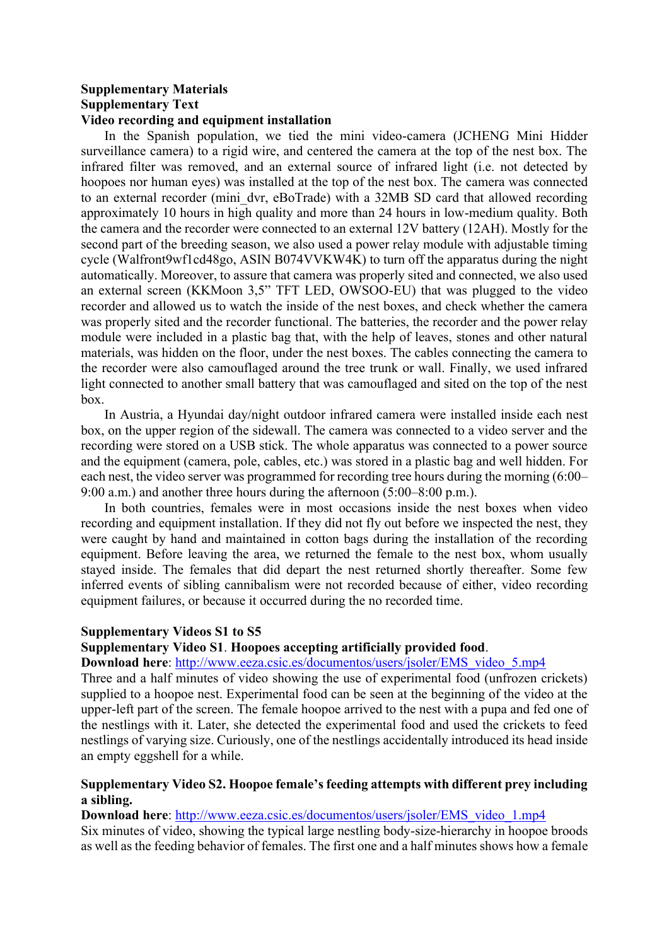# **Supplementary Materials Supplementary Text**

## **Video recording and equipment installation**

In the Spanish population, we tied the mini video-camera (JCHENG Mini Hidder surveillance camera) to a rigid wire, and centered the camera at the top of the nest box. The infrared filter was removed, and an external source of infrared light (i.e. not detected by hoopoes nor human eyes) was installed at the top of the nest box. The camera was connected to an external recorder (mini\_dvr, eBoTrade) with a 32MB SD card that allowed recording approximately 10 hours in high quality and more than 24 hours in low-medium quality. Both the camera and the recorder were connected to an external 12V battery (12AH). Mostly for the second part of the breeding season, we also used a power relay module with adjustable timing cycle (Walfront9wf1cd48go, ASIN B074VVKW4K) to turn off the apparatus during the night automatically. Moreover, to assure that camera was properly sited and connected, we also used an external screen (KKMoon 3,5" TFT LED, OWSOO-EU) that was plugged to the video recorder and allowed us to watch the inside of the nest boxes, and check whether the camera was properly sited and the recorder functional. The batteries, the recorder and the power relay module were included in a plastic bag that, with the help of leaves, stones and other natural materials, was hidden on the floor, under the nest boxes. The cables connecting the camera to the recorder were also camouflaged around the tree trunk or wall. Finally, we used infrared light connected to another small battery that was camouflaged and sited on the top of the nest box.

In Austria, a Hyundai day/night outdoor infrared camera were installed inside each nest box, on the upper region of the sidewall. The camera was connected to a video server and the recording were stored on a USB stick. The whole apparatus was connected to a power source and the equipment (camera, pole, cables, etc.) was stored in a plastic bag and well hidden. For each nest, the video server was programmed for recording tree hours during the morning (6:00– 9:00 a.m.) and another three hours during the afternoon (5:00–8:00 p.m.).

In both countries, females were in most occasions inside the nest boxes when video recording and equipment installation. If they did not fly out before we inspected the nest, they were caught by hand and maintained in cotton bags during the installation of the recording equipment. Before leaving the area, we returned the female to the nest box, whom usually stayed inside. The females that did depart the nest returned shortly thereafter. Some few inferred events of sibling cannibalism were not recorded because of either, video recording equipment failures, or because it occurred during the no recorded time.

#### **Supplementary Videos S1 to S5**

#### **Supplementary Video S1**. **Hoopoes accepting artificially provided food**.

**Download here**: http://www.eeza.csic.es/documentos/users/jsoler/EMS\_video\_5.mp4

Three and a half minutes of video showing the use of experimental food (unfrozen crickets) supplied to a hoopoe nest. Experimental food can be seen at the beginning of the video at the upper-left part of the screen. The female hoopoe arrived to the nest with a pupa and fed one of the nestlings with it. Later, she detected the experimental food and used the crickets to feed nestlings of varying size. Curiously, one of the nestlings accidentally introduced its head inside an empty eggshell for a while.

## **Supplementary Video S2. Hoopoe female's feeding attempts with different prey including a sibling.**

#### **Download here**: http://www.eeza.csic.es/documentos/users/jsoler/EMS\_video\_1.mp4

Six minutes of video, showing the typical large nestling body-size-hierarchy in hoopoe broods as well as the feeding behavior of females. The first one and a half minutes shows how a female